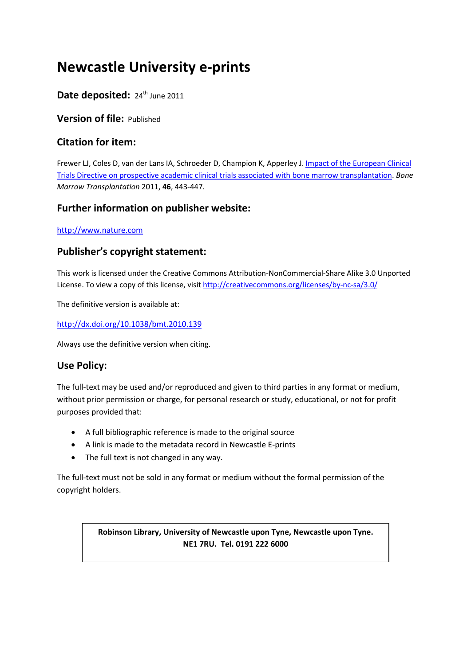# **Newcastle University e-prints**

# Date deposited: 24<sup>th</sup> June 2011

**Version of file:** Published

# **Citation for item:**

Frewer LJ, Coles D, van der Lans IA, Schroeder D, Champion K, Apperley J. *Impact of the European Clinical* [Trials Directive on prospective academic clinical trials associated with bone marrow transplantation.](javascript:ViewPublication(169913);) *Bone Marrow Transplantation* 2011, **46**, 443-447.

# **Further information on publisher website:**

[http://www.nature.com](http://www.nature.com/)

# **Publisher's copyright statement:**

This work is licensed under the Creative Commons Attribution-NonCommercial-Share Alike 3.0 Unported License. To view a copy of this license, visi[t http://creativecommons.org/licenses/by-nc-sa/3.0/](http://creativecommons.org/licenses/by-nc-sa/3.0/)

The definitive version is available at:

<http://dx.doi.org/10.1038/bmt.2010.139>

Always use the definitive version when citing.

## **Use Policy:**

The full-text may be used and/or reproduced and given to third parties in any format or medium, without prior permission or charge, for personal research or study, educational, or not for profit purposes provided that:

- A full bibliographic reference is made to the original source
- A link is made to the metadata record in Newcastle E-prints
- The full text is not changed in any way.

The full-text must not be sold in any format or medium without the formal permission of the copyright holders.

> **Robinson Library, University of Newcastle upon Tyne, Newcastle upon Tyne. NE1 7RU. Tel. 0191 222 6000**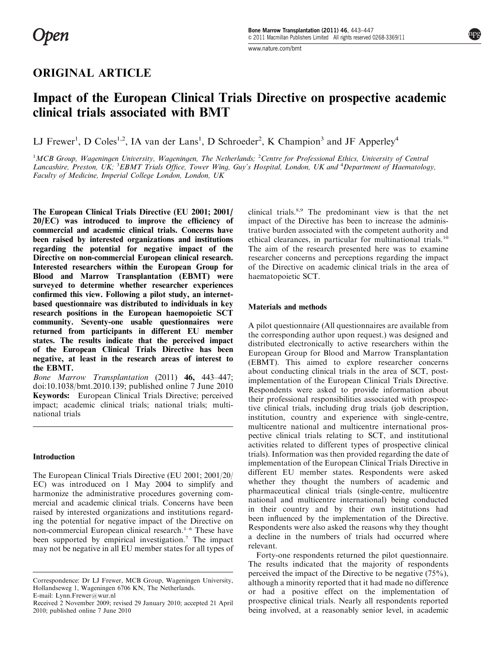[www.nature.com/bmt](http://www.nature.com/bmt)

## ORIGINAL ARTICLE

# Impact of the European Clinical Trials Directive on prospective academic clinical trials associated with BMT

LJ Frewer<sup>1</sup>, D Coles<sup>1,2</sup>, IA van der Lans<sup>1</sup>, D Schroeder<sup>2</sup>, K Champion<sup>3</sup> and JF Apperley<sup>4</sup>

<sup>1</sup>MCB Group, Wageningen University, Wageningen, The Netherlands; <sup>2</sup>Centre for Professional Ethics, University of Centrai Lancashire, Preston, UK; <sup>3</sup>EBMT Trials Office, Tower Wing, Guy's Hospital, London, UK and <sup>4</sup>Department of Haematology, Faculty of Medicine, Imperial College London, London,  $UK<sup>2</sup>$ 

The European Clinical Trials Directive (EU 2001; 2001/ 20/EC) was introduced to improve the efficiency of commercial and academic clinical trials. Concerns have been raised by interested organizations and institutions regarding the potential for negative impact of the Directive on non-commercial European clinical research. Interested researchers within the European Group for Blood and Marrow Transplantation (EBMT) were surveyed to determine whether researcher experiences confirmed this view. Following a pilot study, an internetbased questionnaire was distributed to individuals in key research positions in the European haemopoietic SCT community. Seventy-one usable questionnaires were returned from participants in different EU member states. The results indicate that the perceived impact of the European Clinical Trials Directive has been negative, at least in the research areas of interest to the EBMT.

Bone Marrow Transplantation (2011) 46, 443–447; doi:[10.1038/bmt.2010.139](http://dx.doi.org/10.1038/bmt.2010.139); published online 7 June 2010 Keywords: European Clinical Trials Directive; perceived impact; academic clinical trials; national trials; multinational trials

### Introduction

The European Clinical Trials Directive (EU 2001; 2001/20/ EC) was introduced on 1 May 2004 to simplify and harmonize the administrative procedures governing commercial and academic clinical trials. Concerns have been raised by interested organizations and institutions regarding the potential for negative impact of the Directive on non-commercial European clinical research.<sup>1-6</sup> These have been supported by empirical investigation.<sup>[7](#page-4-0)</sup> The impact may not be negative in all EU member states for all types of clinical trials.[8,9](#page-5-0) The predominant view is that the net impact of the Directive has been to increase the administrative burden associated with the competent authority and ethical clearances, in particular for multinational trials.[10](#page-5-0) The aim of the research presented here was to examine researcher concerns and perceptions regarding the impact of the Directive on academic clinical trials in the area of haematopoietic SCT.

### Materials and methods

A pilot questionnaire (All questionnaires are available from the corresponding author upon request.) was designed and distributed electronically to active researchers within the European Group for Blood and Marrow Transplantation (EBMT). This aimed to explore researcher concerns about conducting clinical trials in the area of SCT, postimplementation of the European Clinical Trials Directive. Respondents were asked to provide information about their professional responsibilities associated with prospective clinical trials, including drug trials (job description, institution, country and experience with single-centre, multicentre national and multicentre international prospective clinical trials relating to SCT, and institutional activities related to different types of prospective clinical trials). Information was then provided regarding the date of implementation of the European Clinical Trials Directive in different EU member states. Respondents were asked whether they thought the numbers of academic and pharmaceutical clinical trials (single-centre, multicentre national and multicentre international) being conducted in their country and by their own institutions had been influenced by the implementation of the Directive. Respondents were also asked the reasons why they thought a decline in the numbers of trials had occurred where relevant.

Forty-one respondents returned the pilot questionnaire. The results indicated that the majority of respondents perceived the impact of the Directive to be negative (75%), although a minority reported that it had made no difference or had a positive effect on the implementation of prospective clinical trials. Nearly all respondents reported being involved, at a reasonably senior level, in academic

Correspondence: Dr LJ Frewer, MCB Group, Wageningen University, Hollandseweg 1, Wageningen 6706 KN, The Netherlands. E-mail: [Lynn.Frewer@wur.nl](mailto:Lynn.Frewer@wur.nl)

Received 2 November 2009; revised 29 January 2010; accepted 21 April 2010; published online 7 June 2010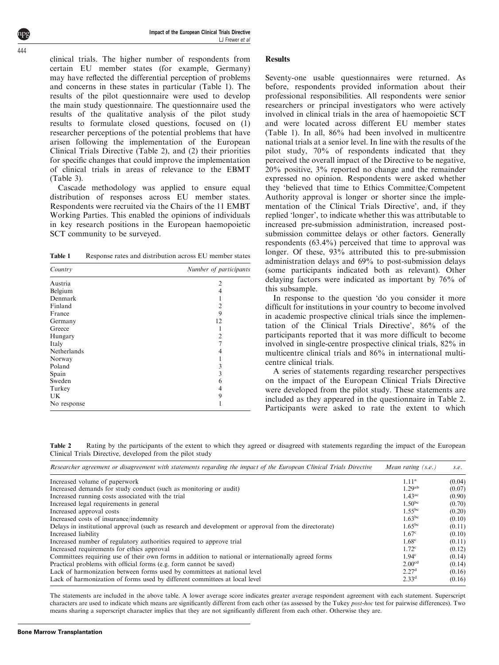Impact of the European Clinical Trials Directive LJ Frewer et al

clinical trials. The higher number of respondents from certain EU member states (for example, Germany) may have reflected the differential perception of problems and concerns in these states in particular (Table 1). The results of the pilot questionnaire were used to develop the main study questionnaire. The questionnaire used the results of the qualitative analysis of the pilot study results to formulate closed questions, focused on (1) researcher perceptions of the potential problems that have arisen following the implementation of the European Clinical Trials Directive (Table 2), and (2) their priorities for specific changes that could improve the implementation of clinical trials in areas of relevance to the EBMT ([Table 3\)](#page-3-0).

Cascade methodology was applied to ensure equal distribution of responses across EU member states. Respondents were recruited via the Chairs of the 11 EMBT Working Parties. This enabled the opinions of individuals in key research positions in the European haemopoietic SCT community to be surveyed.

Table 1 Response rates and distribution across EU member states

| Country     | Number of participants |  |  |
|-------------|------------------------|--|--|
| Austria     | $\overline{c}$         |  |  |
| Belgium     |                        |  |  |
| Denmark     |                        |  |  |
| Finland     | 2                      |  |  |
| France      | 9                      |  |  |
| Germany     | 12                     |  |  |
| Greece      |                        |  |  |
| Hungary     | 2                      |  |  |
| Italy       |                        |  |  |
| Netherlands |                        |  |  |
| Norway      |                        |  |  |
| Poland      | 3                      |  |  |
| Spain       | 3                      |  |  |
| Sweden      | 6                      |  |  |
| Turkey      |                        |  |  |
| UK          | 9                      |  |  |
| No response |                        |  |  |

### Results

Seventy-one usable questionnaires were returned. As before, respondents provided information about their professional responsibilities. All respondents were senior researchers or principal investigators who were actively involved in clinical trials in the area of haemopoietic SCT and were located across different EU member states (Table 1). In all, 86% had been involved in multicentre national trials at a senior level. In line with the results of the pilot study, 70% of respondents indicated that they perceived the overall impact of the Directive to be negative, 20% positive, 3% reported no change and the remainder expressed no opinion. Respondents were asked whether they 'believed that time to Ethics Committee/Competent Authority approval is longer or shorter since the implementation of the Clinical Trials Directive', and, if they replied 'longer', to indicate whether this was attributable to increased pre-submission administration, increased postsubmission committee delays or other factors. Generally respondents (63.4%) perceived that time to approval was longer. Of these, 93% attributed this to pre-submission administration delays and 69% to post-submission delays (some participants indicated both as relevant). Other delaying factors were indicated as important by 76% of this subsample.

In response to the question 'do you consider it more difficult for institutions in your country to become involved in academic prospective clinical trials since the implementation of the Clinical Trials Directive', 86% of the participants reported that it was more difficult to become involved in single-centre prospective clinical trials, 82% in multicentre clinical trials and 86% in international multicentre clinical trials.

A series of statements regarding researcher perspectives on the impact of the European Clinical Trials Directive were developed from the pilot study. These statements are included as they appeared in the questionnaire in Table 2. Participants were asked to rate the extent to which

Table 2 Rating by the participants of the extent to which they agreed or disagreed with statements regarding the impact of the European Clinical Trials Directive, developed from the pilot study

| Researcher agreement or disagreement with statements regarding the impact of the European Clinical Trials Directive | Mean rating $(s.e.)$ | S.e.   |
|---------------------------------------------------------------------------------------------------------------------|----------------------|--------|
| Increased volume of paperwork                                                                                       | 1.11 <sup>a</sup>    | (0.04) |
| Increased demands for study conduct (such as monitoring or audit)                                                   | 1.29 <sup>ab</sup>   | (0.07) |
| Increased running costs associated with the trial                                                                   | $1.43^{\text{ac}}$   | (0.90) |
| Increased legal requirements in general                                                                             | $1.50^{bc}$          | (0.70) |
| Increased approval costs                                                                                            | $1.55^{bc}$          | (0.20) |
| Increased costs of insurance/indemnity                                                                              | $1.63^{bc}$          | (0.10) |
| Delays in institutional approval (such as research and development or approval from the directorate)                | $1.65^{bc}$          | (0.11) |
| Increased liability                                                                                                 | 1.67 <sup>c</sup>    | (0.10) |
| Increased number of regulatory authorities required to approve trial                                                | 1.68 <sup>c</sup>    | (0.11) |
| Increased requirements for ethics approval                                                                          | 1.72 <sup>c</sup>    | (0.12) |
| Committees requiring use of their own forms in addition to national or internationally agreed forms                 | 1.94 <sup>c</sup>    | (0.14) |
| Practical problems with official forms (e.g. form cannot be saved)                                                  | 2.00 <sup>cd</sup>   | (0.14) |
| Lack of harmonization between forms used by committees at national level                                            | 2.27 <sup>d</sup>    | (0.16) |
| Lack of harmonization of forms used by different committees at local level                                          | $2.33^d$             | (0.16) |

The statements are included in the above table. A lower average score indicates greater average respondent agreement with each statement. Superscript characters are used to indicate which means are significantly different from each other (as assessed by the Tukey *post-hoc* test for pairwise differences). Two means sharing a superscript character implies that they are not significantly different from each other. Otherwise they are.

<span id="page-2-0"></span>444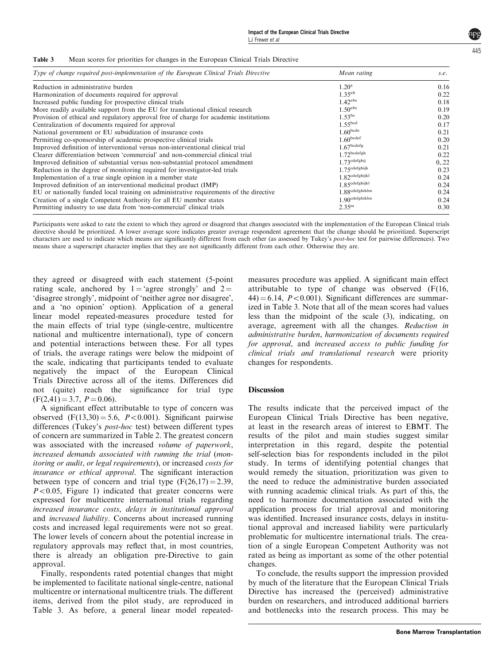<span id="page-3-0"></span>

| Table 3 |  |  |  |  | Mean scores for priorities for changes in the European Clinical Trials Directive |
|---------|--|--|--|--|----------------------------------------------------------------------------------|
|---------|--|--|--|--|----------------------------------------------------------------------------------|

| Type of change required post-implementation of the European Clinical Trials Directive  | Mean rating                | s.e.  |
|----------------------------------------------------------------------------------------|----------------------------|-------|
| Reduction in administrative burden                                                     | $1.20^{\rm a}$             | 0.16  |
| Harmonization of documents required for approval                                       | $1.35^{ab}$                | 0.22  |
| Increased public funding for prospective clinical trials                               | $1.42$ <sup>abc</sup>      | 0.18  |
| More readily available support from the EU for translational clinical research         | $1.50^{\text{abc}}$        | 0.19  |
| Provision of ethical and regulatory approval free of charge for academic institutions  | 1.53 <sup>bc</sup>         | 0.20  |
| Centralization of documents required for approval                                      | 1.55 <sup>bcd</sup>        | 0.17  |
| National government or EU subsidization of insurance costs                             | $1.60^{bcde}$              | 0.21  |
| Permitting co-sponsorship of academic prospective clinical trials                      | 1.60 <sup>bcdef</sup>      | 0.20  |
| Improved definition of interventional versus non-interventional clinical trial         | $1.67^{bcdefg}$            | 0.21  |
| Clearer differentiation between 'commercial' and non-commercial clinical trial         | $1.72$ bcdefgh             | 0.22  |
| Improved definition of substantial versus non-substantial protocol amendment           | 1 73cdefghij               | 0, 22 |
| Reduction in the degree of monitoring required for investigator-led trials             | 1 75cdefghijk              | 0.23  |
| Implementation of a true single opinion in a member state                              | 1.82cdefghijkl             | 0.24  |
| Improved definition of an interventional medicinal product (IMP)                       | $1.85^{\text{cdefghijkl}}$ | 0.24  |
| EU or nationally funded local training on administrative requirements of the directive | $1.88^{\text{cdefghiklm}}$ | 0.24  |
| Creation of a single Competent Authority for all EU member states                      | $1.90^{\text{cdefghiklm}}$ | 0.24  |
| Permitting industry to use data from 'non-commercial' clinical trials                  | $2.35^{\rm m}$             | 0.30  |

Participants were asked to rate the extent to which they agreed or disagreed that changes associated with the implementation of the European Clinical trials directive should be prioritized. A lower average score indicates greater average respondent agreement that the change should be prioritized. Superscript characters are used to indicate which means are significantly different from each other (as assessed by Tukey's post-hoc test for pairwise differences). Two means share a superscript character implies that they are not significantly different from each other. Otherwise they are.

they agreed or disagreed with each statement (5-point rating scale, anchored by  $1 = 'agree$  strongly' and  $2 =$ 'disagree strongly', midpoint of 'neither agree nor disagree', and a 'no opinion' option). Application of a general linear model repeated-measures procedure tested for the main effects of trial type (single-centre, multicentre national and multicentre international), type of concern and potential interactions between these. For all types of trials, the average ratings were below the midpoint of the scale, indicating that participants tended to evaluate negatively the impact of the European Clinical Trials Directive across all of the items. Differences did not (quite) reach the significance for trial type  $(F(2, 41) = 3.7, P = 0.06).$ 

A significant effect attributable to type of concern was observed  $(F(13,30) = 5.6, P < 0.001)$ . Significant pairwise differences (Tukey's post-hoc test) between different types of concern are summarized in [Table 2](#page-2-0). The greatest concern was associated with the increased *volume of paperwork*, increased demands associated with running the trial (monitoring or audit, or legal requirements), or increased costs for insurance or ethical approval. The significant interaction between type of concern and trial type  $(F(26,17) = 2.39,$  $P<0.05$ , [Figure 1](#page-4-0)) indicated that greater concerns were expressed for multicentre international trials regarding increased insurance costs, delays in institutional approval and increased liability. Concerns about increased running costs and increased legal requirements were not so great. The lower levels of concern about the potential increase in regulatory approvals may reflect that, in most countries, there is already an obligation pre-Directive to gain approval.

Finally, respondents rated potential changes that might be implemented to facilitate national single-centre, national multicentre or international multicentre trials. The different items, derived from the pilot study, are reproduced in Table 3. As before, a general linear model repeatedmeasures procedure was applied. A significant main effect attributable to type of change was observed (F(16,  $44$ ) = 6.14,  $P < 0.001$ ). Significant differences are summarized in Table 3. Note that all of the mean scores had values less than the midpoint of the scale (3), indicating, on average, agreement with all the changes. Reduction in administrative burden, harmonization of documents required for approval, and increased access to public funding for clinical trials and translational research were priority changes for respondents.

### **Discussion**

The results indicate that the perceived impact of the European Clinical Trials Directive has been negative, at least in the research areas of interest to EBMT. The results of the pilot and main studies suggest similar interpretation in this regard, despite the potential self-selection bias for respondents included in the pilot study. In terms of identifying potential changes that would remedy the situation, prioritization was given to the need to reduce the administrative burden associated with running academic clinical trials. As part of this, the need to harmonize documentation associated with the application process for trial approval and monitoring was identified. Increased insurance costs, delays in institutional approval and increased liability were particularly problematic for multicentre international trials. The creation of a single European Competent Authority was not rated as being as important as some of the other potential changes.

To conclude, the results support the impression provided by much of the literature that the European Clinical Trials Directive has increased the (perceived) administrative burden on researchers, and introduced additional barriers and bottlenecks into the research process. This may be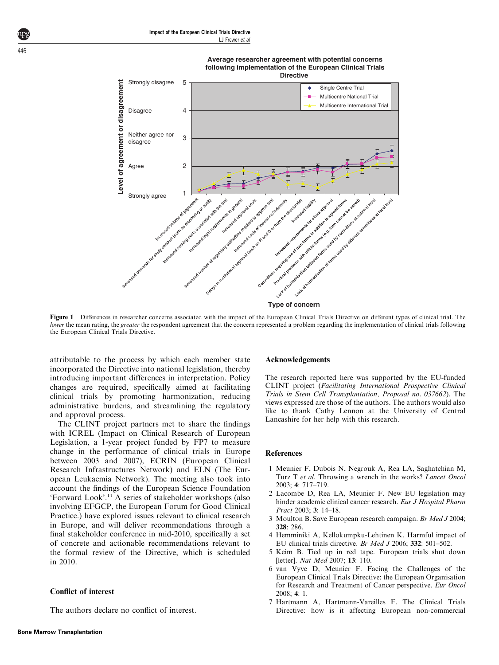



Figure 1 Differences in researcher concerns associated with the impact of the European Clinical Trials Directive on different types of clinical trial. The lower the mean rating, the greater the respondent agreement that the concern represented a problem regarding the implementation of clinical trials following the European Clinical Trials Directive.

attributable to the process by which each member state incorporated the Directive into national legislation, thereby introducing important differences in interpretation. Policy changes are required, specifically aimed at facilitating clinical trials by promoting harmonization, reducing administrative burdens, and streamlining the regulatory and approval process.

 **Level of agreement or disagreement**

evel of agreement or disagreement

The CLINT project partners met to share the findings with ICREL (Impact on Clinical Research of European Legislation, a 1-year project funded by FP7 to measure change in the performance of clinical trials in Europe between 2003 and 2007), ECRIN (European Clinical Research Infrastructures Network) and ELN (The European Leukaemia Network). The meeting also took into account the findings of the European Science Foundation 'Forward Look'.[11](#page-5-0) A series of stakeholder workshops (also involving EFGCP, the European Forum for Good Clinical Practice.) have explored issues relevant to clinical research in Europe, and will deliver recommendations through a final stakeholder conference in mid-2010, specifically a set of concrete and actionable recommendations relevant to the formal review of the Directive, which is scheduled in 2010.

### Conflict of interest

The authors declare no conflict of interest.

#### Acknowledgements

**Type of concern** 

lack of r

lack of hi

The research reported here was supported by the EU-funded CLINT project (Facilitating International Prospective Clinical Trials in Stem Cell Transplantation, Proposal no. 037662). The views expressed are those of the authors. The authors would also like to thank Cathy Lennon at the University of Central Lancashire for her help with this research.

### References

- 1 Meunier F, Dubois N, Negrouk A, Rea LA, Saghatchian M, Turz T et al. Throwing a wrench in the works? Lancet Oncol 2003; 4: 717–719.
- 2 Lacombe D, Rea LA, Meunier F. New EU legislation may hinder academic clinical cancer research. Eur J Hospital Pharm Pract 2003; 3: 14–18.
- 3 Moulton B. Save European research campaign. Br Med J 2004; 328: 286.
- 4 Hemminiki A, Kellokumpku-Lehtinen K. Harmful impact of EU clinical trials directive. Br Med J 2006; 332: 501–502.
- 5 Keim B. Tied up in red tape. European trials shut down [letter]. Nat Med 2007; 13: 110.
- 6 van Vyve D, Meunier F. Facing the Challenges of the European Clinical Trials Directive: the European Organisation for Research and Treatment of Cancer perspective. Eur Oncol 2008; 4: 1.
- 7 Hartmann A, Hartmann-Vareilles F. The Clinical Trials Directive: how is it affecting European non-commercial

<span id="page-4-0"></span>446